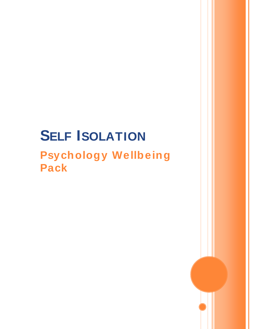# **SELF ISOLATION Psychology Wellbeing Pack**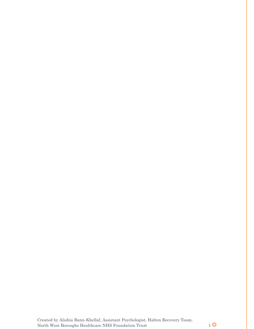Created by Alishia Bann-Khellaf, Assistant Psychologist, Halton Recovery Team, North West Boroughs Healthcare NHS Foundation Trust 1 0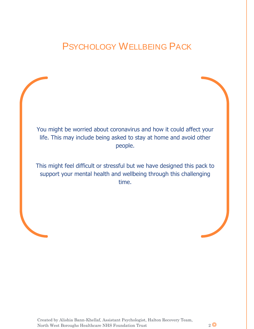### PSYCHOLOGY WELLBEING PACK

You might be worried about coronavirus and how it could affect your life. This may include being asked to stay at home and avoid other people.

This might feel difficult or stressful but we have designed this pack to support your mental health and wellbeing through this challenging time.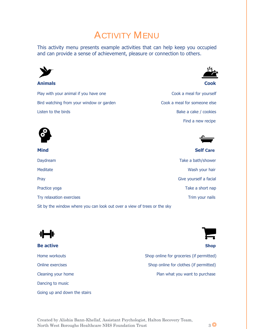# ACTIVITY MENU

This activity menu presents example activities that can help keep you occupied and can provide a sense of achievement, pleasure or connection to others.



Sit by the window where you can look out over a view of trees or the sky



Home workouts **Shop online for groceries** (if permitted) Online exercises Shop online for clothes (if permitted) Cleaning your home **Plan what you want to purchase**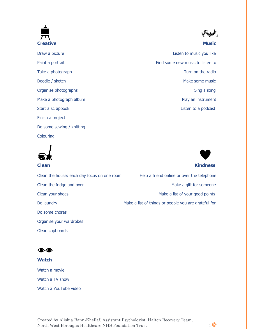

Start a scrapbook and the start and the start and the start and the start and the start and the start and the start and the start and the start and the start and the start and the start and the start and the start and the Finish a project Do some sewing / knitting **Colouring** 



Clean the house: each day focus on one room Help a friend online or over the telephone Clean the fridge and oven **Make a gift for someone** Make a gift for someone Clean your shoes and the control of the Make a list of your good points Do laundry Make a list of things or people you are grateful for Do some chores Organise your wardrobes Clean cupboards



**Watch**

Watch a movie Watch a TV show Watch a YouTube video



Draw a picture Listen to music you like Paint a portrait Find some new music to listen to Paint a portrait Take a photograph Turn on the radio Doodle / sketch Make some music Organise photographs Sing a song Make a photograph album **Play and The Control of the Control of Control** Play an instrument





### **Clean Kindness**

Created by Alishia Bann-Khellaf, Assistant Psychologist, Halton Recovery Team, North West Boroughs Healthcare NHS Foundation Trust 4 0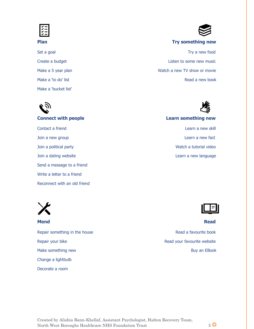

Make a 'bucket list'



Join a new group and the set of the set of the set of the set of the Learn a new fact Join a political party **Watch a tutorial video** Watch a tutorial video Join a dating website **Learn a new language** Learn a new language Send a message to a friend Write a letter to a friend Reconnect with an old friend



#### **Mend** Read<sup>d</sup>

Repair something in the house Read a favourite book Repair your bike Read your favourite website Make something new Buy and EBook and the something new Buy and EBook and the something new Buy and EBook and EBook Change a lightbulb Decorate a room

### **Plan Try something new**

Set a goal Try a new food Create a budget **Listen to some new music** Make a 5 year plan Make a 5 year plan Make a 'to do' list and the state of the state of the state and the state and the Read a new book



### **Connect with people Learn something new**

Contact a friend Learn a new skill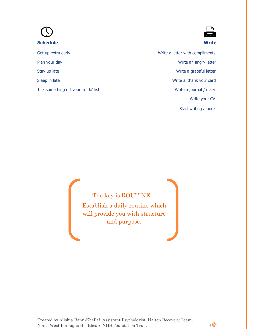**Schedule Write** Get up extra early and the state of the state of the Write a letter with compliments Plan your day Note and the Second Second Second Second Second Second Second Second Second Second Second Second Second Second Second Second Second Second Second Second Second Second Second Second Second Second Second Second Stay up late a grateful letter Sleep in late **Sleep in late** a 'thank you' card Tick something off your 'to do' list Write a journal / diary

 Write your CV Start writing a book

The key is ROUTINE… Establish a daily routine which will provide you with structure and purpose.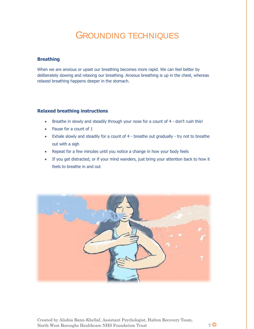### GROUNDING TECHNIQUES

#### **Breathing**

When we are anxious or upset our breathing becomes more rapid. We can feel better by deliberately slowing and relaxing our breathing. Anxious breathing is up in the chest, whereas relaxed breathing happens deeper in the stomach.

#### **Relaxed breathing instructions**

- Breathe in slowly and steadily through your nose for a count of 4 don't rush this!
- Pause for a count of 1
- Exhale slowly and steadily for a count of 4 breathe out gradually try not to breathe out with a sigh
- Repeat for a few minutes until you notice a change in how your body feels
- If you get distracted, or if your mind wanders, just bring your attention back to how it feels to breathe in and out

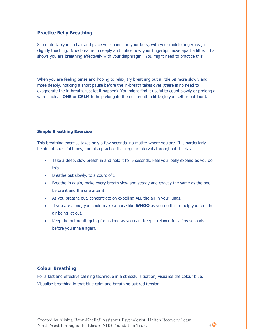#### **Practice Belly Breathing**

Sit comfortably in a chair and place your hands on your belly, with your middle fingertips just slightly touching. Now breathe in deeply and notice how your fingertips move apart a little. That shows you are breathing effectively with your diaphragm. You might need to practice this!

When you are feeling tense and hoping to relax, try breathing out a little bit more slowly and more deeply, noticing a short pause before the in-breath takes over (there is no need to exaggerate the in-breath, just let it happen). You might find it useful to count slowly or prolong a word such as **ONE** or **CALM** to help elongate the out-breath a little (to yourself or out loud).

#### **Simple Breathing Exercise**

This breathing exercise takes only a few seconds, no matter where you are. It is particularly helpful at stressful times, and also practice it at regular intervals throughout the day.

- Take a deep, slow breath in and hold it for 5 seconds. Feel your belly expand as you do this.
- Breathe out slowly, to a count of 5.
- Breathe in again, make every breath slow and steady and exactly the same as the one before it and the one after it.
- As you breathe out, concentrate on expelling ALL the air in your lungs.
- If you are alone, you could make a noise like **WHOO** as you do this to help you feel the air being let out.
- Keep the outbreath going for as long as you can. Keep it relaxed for a few seconds before you inhale again.

#### **Colour Breathing**

For a fast and effective calming technique in a stressful situation, visualise the colour blue. Visualise breathing in that blue calm and breathing out red tension.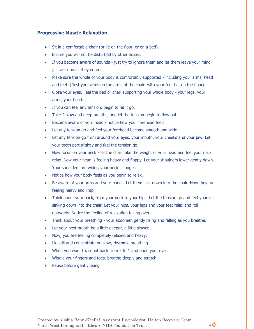#### **Progressive Muscle Relaxation**

- Sit in a comfortable chair (or lie on the floor, or on a bed).
- Ensure you will not be disturbed by other noises.
- If you become aware of sounds just try to ignore them and let them leave your mind just as soon as they enter.
- Make sure the whole of your body is comfortably supported including your arms, head and feet. (Rest your arms on the arms of the chair, with your feet flat on the floor)
- Close your eyes. Feel the bed or chair supporting your whole body your legs, your arms, your head.
- If you can feel any tension, begin to let it go.
- Take 2 slow and deep breaths, and let the tension begin to flow out.
- Become aware of your head notice how your forehead feels.
- Let any tension go and feel your forehead become smooth and wide.
- Let any tension go from around your eyes, your mouth, your cheeks and your jaw. Let your teeth part slightly and feel the tension go.
- Now focus on your neck let the chair take the weight of your head and feel your neck relax. Now your head is feeling heavy and floppy. Let your shoulders lower gently down. Your shoulders are wider, your neck is longer.
- Notice how your body feels as you begin to relax.
- Be aware of your arms and your hands. Let them sink down into the chair. Now they are feeling heavy and limp.
- Think about your back, from your neck to your hips. Let the tension go and feel yourself sinking down into the chair. Let your hips, your legs and your feet relax and roll outwards. Notice the feeling of relaxation taking over.
- Think about your breathing your abdomen gently rising and falling as you breathe.
- Let your next breath be a little deeper, a little slower...
- Now, you are feeling completely relaxed and heavy.
- Lie still and concentrate on slow, rhythmic breathing.
- When you want to, count back from 5 to 1 and open your eyes.
- Wiggle your fingers and toes, breathe deeply and stretch.
- Pause before gently rising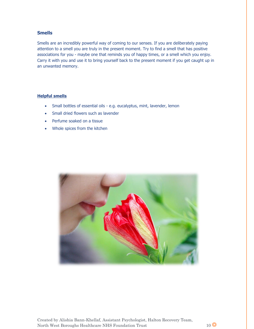#### **Smells**

Smells are an incredibly powerful way of coming to our senses. If you are deliberately paying attention to a smell you are truly in the present moment. Try to find a smell that has positive associations for you - maybe one that reminds you of happy times, or a smell which you enjoy. Carry it with you and use it to bring yourself back to the present moment if you get caught up in an unwanted memory.

#### **Helpful smells**

- Small bottles of essential oils e.g. eucalyptus, mint, lavender, lemon
- Small dried flowers such as lavender
- Perfume soaked on a tissue
- Whole spices from the kitchen

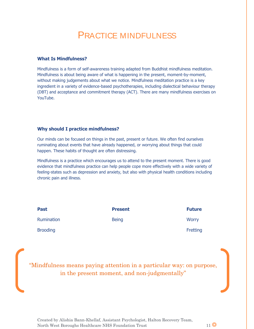### PRACTICE MINDFULNESS

#### **What Is Mindfulness?**

Mindfulness is a form of self-awareness training adapted from Buddhist mindfulness meditation. Mindfulness is about being aware of what is happening in the present, moment-by-moment, without making judgements about what we notice. Mindfulness meditation practice is a key ingredient in a variety of evidence-based psychotherapies, including dialectical behaviour therapy (DBT) and acceptance and commitment therapy (ACT). There are many mindfulness exercises on YouTube.

#### **Why should I practice mindfulness?**

Our minds can be focused on things in the past, present or future. We often find ourselves ruminating about events that have already happened, or worrying about things that could happen. These habits of thought are often distressing.

Mindfulness is a practice which encourages us to attend to the present moment. There is good evidence that mindfulness practice can help people cope more effectively with a wide variety of feeling-states such as depression and anxiety, but also with physical health conditions including chronic pain and illness.

| <b>Past</b>     | <b>Present</b> | <b>Future</b> |
|-----------------|----------------|---------------|
| Rumination      | <b>Being</b>   | <b>Worry</b>  |
| <b>Brooding</b> |                | Fretting      |

"Mindfulness means paying attention in a particular way: on purpose, in the present moment, and non-judgmentally"

Created by Alishia Bann-Khellaf, Assistant Psychologist, Halton Recovery Team, North West Boroughs Healthcare NHS Foundation Trust 11 0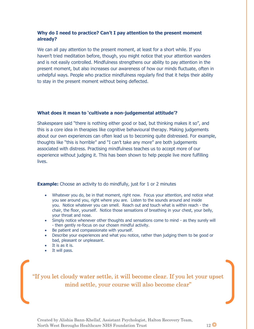### **Why do I need to practice? Can't I pay attention to the present moment already?**

We can all pay attention to the present moment, at least for a short while. If you haven't tried meditation before, though, you might notice that your attention wanders and is not easily controlled. Mindfulness strengthens our ability to pay attention in the present moment, but also increases our awareness of how our minds fluctuate, often in unhelpful ways. People who practice mindfulness regularly find that it helps their ability to stay in the present moment without being deflected.

#### **What does it mean to 'cultivate a non-judgemental attitude'?**

Shakespeare said "there is nothing either good or bad, but thinking makes it so", and this is a core idea in therapies like cognitive behavioural therapy. Making judgements about our own experiences can often lead us to becoming quite distressed. For example, thoughts like "this is horrible" and "I can't take any more" are both judgements associated with distress. Practising mindfulness teaches us to accept more of our experience without judging it. This has been shown to help people live more fulfilling lives.

#### **Example:** [Choose an activity to do mindfully, just for 1 or 2 minutes](https://www.getselfhelp.co.uk/now.htm)

- Whatever you do, be in that moment, right now. Focus your attention, and notice what you see around you, right where you are. Listen to the sounds around and inside you. Notice whatever you can smell. Reach out and touch what is within reach - the chair, the floor, yourself. Notice those sensations of breathing in your chest, your belly, your throat and nose.
- Simply notice whenever other thoughts and sensations come to mind as they surely will - then gently re-focus on our chosen mindful activity.
- Be patient and compassionate with yourself.
- Describe your experiences and what you notice, rather than judging them to be good or bad, pleasant or unpleasant.
- $\bullet$  It is as it is.
- It will pass.

"If you let cloudy water settle, it will become clear. If you let your upset mind settle, your course will also become clear"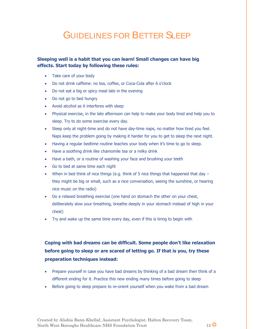# GUIDELINES FOR BETTER SLEEP

### **Sleeping well is a habit that you can learn! Small changes can have big effects. Start today by following these rules:**

- Take care of your body
- Do not drink caffeine: no tea, coffee, or Coca-Cola after 6 o'clock
- Do not eat a big or spicy meal late in the evening
- Do not go to bed hungry
- Avoid alcohol as it interferes with sleep
- Physical exercise, in the late afternoon can help to make your body tired and help you to sleep. Try to do some exercise every day.
- Sleep only at night-time and do not have day-time naps, no matter how tired you feel. Naps keep the problem going by making it harder for you to get to sleep the next night.
- Having a regular bedtime routine teaches your body when it's time to go to sleep.
- Have a soothing drink like chamomile tea or a milky drink
- Have a bath, or a routine of washing your face and brushing your teeth
- Go to bed at same time each night
- When in bed think of nice things (e.g. think of 5 nice things that happened that day  $$ they might be big or small, such as a nice conversation, seeing the sunshine, or hearing nice music on the radio)
- Do a relaxed breathing exercise (one hand on stomach the other on your chest, deliberately slow your breathing, breathe deeply in your stomach instead of high in your chest)
- Try and wake up the same time every day, even if this is tiring to begin with

### **Coping with bad dreams can be difficult. Some people don't like relaxation before going to sleep or are scared of letting go. If that is you, try these preparation techniques instead:**

- Prepare yourself in case you have bad dreams by thinking of a bad dream then think of a different ending for it. Practice this new ending many times before going to sleep
- Before going to sleep prepare to re-orient yourself when you wake from a bad dream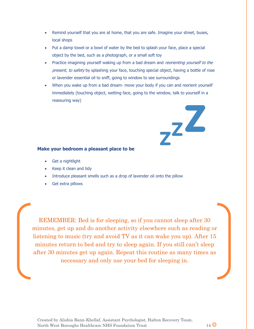- Remind yourself that you are at home, that you are safe. Imagine your street, buses, local shops
- Put a damp towel or a bowl of water by the bed to splash your face, place a special object by the bed, such as a photograph, or a small soft toy
- Practice imagining yourself waking up from a bad dream and reorienting yourself to the present, to safety by splashing your face, touching special object, having a bottle of rose or lavender essential oil to sniff, going to window to see surroundings
- When you wake up from a bad dream- move your body if you can and reorient yourself immediately (touching object, wetting face, going to the window, talk to yourself in a reassuring way)



#### **Make your bedroom a pleasant place to be**

- Get a nightlight
- Keep it clean and tidy
- Introduce pleasant smells such as a drop of lavender oil onto the pillow
- Get extra pillows

REMEMBER: Bed is for sleeping, so if you cannot sleep after 30 minutes, get up and do another activity elsewhere such as reading or listening to music (try and avoid TV as it can wake you up). After 15 minutes return to bed and try to sleep again. If you still can't sleep after 30 minutes get up again. Repeat this routine as many times as necessary and only use your bed for sleeping in.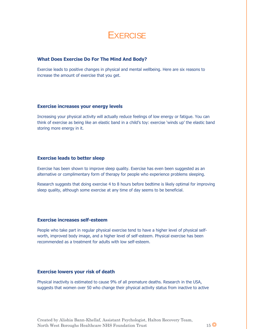

#### **What Does Exercise Do For The Mind And Body?**

Exercise leads to positive changes in physical and mental wellbeing. Here are six reasons to increase the amount of exercise that you get.

#### **Exercise increases your energy levels**

Increasing your physical activity will actually reduce feelings of low energy or fatigue. You can think of exercise as being like an elastic band in a child's toy: exercise 'winds up' the elastic band storing more energy in it.

#### **Exercise leads to better sleep**

Exercise has been shown to improve sleep quality. Exercise has even been suggested as an alternative or complimentary form of therapy for people who experience problems sleeping.

Research suggests that doing exercise 4 to 8 hours before bedtime is likely optimal for improving sleep quality, although some exercise at any time of day seems to be beneficial.

#### **Exercise increases self-esteem**

People who take part in regular physical exercise tend to have a higher level of physical selfworth, improved body image, and a higher level of self-esteem. Physical exercise has been recommended as a treatment for adults with low self-esteem.

#### **Exercise lowers your risk of death**

Physical inactivity is estimated to cause 9% of all premature deaths. Research in the USA, suggests that women over 50 who change their physical activity status from inactive to active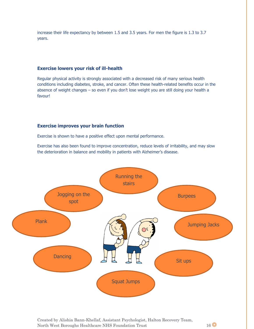increase their life expectancy by between 1.5 and 3.5 years. For men the figure is 1.3 to 3.7 years.

#### **Exercise lowers your risk of ill-health**

Regular physical activity is strongly associated with a decreased risk of many serious health conditions including diabetes, stroke, and cancer. Often these health-related benefits occur in the absence of weight changes – so even if you don't lose weight you are still doing your health a favour!

#### **Exercise improves your brain function**

Exercise is shown to have a positive effect upon mental performance.

Exercise has also been found to improve concentration, reduce levels of irritability, and may slow the deterioration in balance and mobility in patients with Alzheimer's disease.



Created by Alishia Bann-Khellaf, Assistant Psychologist, Halton Recovery Team, North West Boroughs Healthcare NHS Foundation Trust 16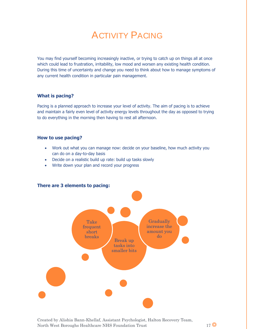## ACTIVITY PACING

You may find yourself becoming increasingly inactive, or trying to catch up on things all at once which could lead to frustration, irritability, low mood and worsen any existing health condition. During this time of uncertainty and change you need to think about how to manage symptoms of any current health condition in particular pain management.

#### **What is pacing?**

Pacing is a planned approach to increase your level of activity. The aim of pacing is to achieve and maintain a fairly even level of activity energy levels throughout the day as opposed to trying to do everything in the morning then having to rest all afternoon.

#### **How to use pacing?**

- Work out what you can manage now: decide on your baseline, how much activity you can do on a day-to-day basis
- Decide on a realistic build up rate: build up tasks slowly
- Write down your plan and record your progress



Created by Alishia Bann-Khellaf, Assistant Psychologist, Halton Recovery Team, North West Boroughs Healthcare NHS Foundation Trust  $17\,^{\circ}$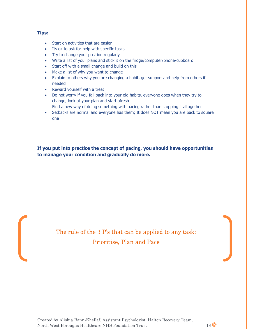#### **Tips:**

- Start on activities that are easier
- Its ok to ask for help with specific tasks
- Try to change your position regularly
- Write a list of your plans and stick it on the fridge/computer/phone/cupboard
- Start off with a small change and build on this
- Make a list of why you want to change
- Explain to others why you are changing a habit, get support and help from others if needed
- Reward yourself with a treat
- Do not worry if you fall back into your old habits, everyone does when they try to change, look at your plan and start afresh
	- Find a new way of doing something with pacing rather than stopping it altogether
- Setbacks are normal and everyone has them; It does NOT mean you are back to square one

**If you put into practice the concept of pacing, you should have opportunities to manage your condition and gradually do more.**

The rule of the 3 P's that can be applied to any task: Prioritise, Plan and Pace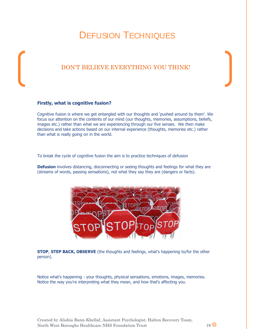## DEFUSION TECHNIQUES

### DON'T BELIEVE EVERYTHING YOU THINK!

#### **Firstly, what is cognitive fusion?**

Cognitive fusion is where we get entangled with our thoughts and 'pushed around by them'. We focus our attention on the contents of our mind (our thoughts, memories, assumptions, beliefs, images etc.) rather than what we are experiencing through our five senses. We then make decisions and take actions based on our internal experience (thoughts, memories etc.) rather than what is really going on in the world.

To break the cycle of cognitive fusion the aim is to practice techniques of defusion

**Defusion** involves distancing, disconnecting or seeing thoughts and feelings for what they are (streams of words, passing sensations), not what they say they are (dangers or facts).



**[STOP](https://www.getselfhelp.co.uk/stopp.htm)**, **STEP BACK, OBSERVE** (the thoughts and feelings, what's happening to/for the other person).

Notice what's happening - your thoughts, physical sensations, emotions, images, memories. Notice the way you're interpreting what they mean, and how that's affecting you.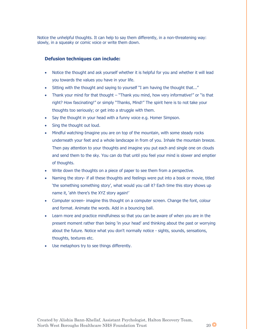Notice the unhelpful thoughts. It can help to say them differently, in a non-threatening way: slowly, in a squeaky or comic voice or write them down.

#### **Defusion techniques can include:**

- Notice the thought and ask yourself whether it is helpful for you and whether it will lead you towards the values you have in your life.
- Sitting with the thought and saying to yourself "I am having the thought that..."
- Thank your mind for that thought "Thank you mind, how very informative!" or "is that right? How fascinating!" or simply "Thanks, Mind!" The spirit here is to not take your thoughts too seriously; or get into a struggle with them.
- Say the thought in your head with a funny voice e.g. Homer Simpson.
- Sing the thought out loud.
- Mindful watching-Imagine you are on top of the mountain, with some steady rocks underneath your feet and a whole landscape in from of you. Inhale the mountain breeze. Then pay attention to your thoughts and imagine you put each and single one on clouds and send them to the sky. You can do that until you feel your mind is slower and emptier of thoughts.
- Write down the thoughts on a piece of paper to see them from a perspective.
- Naming the story- if all these thoughts and feelings were put into a book or movie, titled 'the something something story', what would you call it? Each time this story shows up name it, 'ahh there's the XYZ story again!'
- Computer screen- imagine this thought on a computer screen. Change the font, colour and format. Animate the words. Add in a bouncing ball.
- Learn more and practice [mindfulness](https://www.getselfhelp.co.uk/mindfulness.htm) so that you can be aware of when you are in the present moment rather than being 'in your head' and thinking about the past or worrying about the future. Notice what you don't normally notice - sights, sounds, sensations, thoughts, textures etc.
- Use [metaphors](https://www.getselfhelp.co.uk/metaphors.htm) try to see things differently.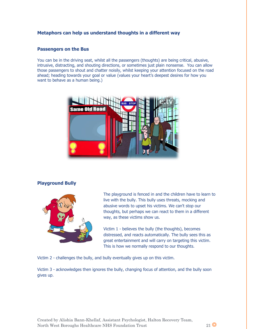#### **[Metaphors](https://www.getselfhelp.co.uk/metaphors.htm) can help us understand thoughts in a different way**

#### **Passengers on the Bus**

You can be in the driving seat, whilst all the passengers (thoughts) are being critical, abusive, intrusive, distracting, and shouting directions, or sometimes just plain nonsense. You can allow those passengers to shout and chatter noisily, whilst keeping your attention focused on the road ahead; heading towards your goal or value (values your heart's deepest desires for how you want to behave as a human being.)



#### **[Playground Bully](https://www.getselfhelp.co.uk/mindbully.htm)**



The playground is fenced in and the children have to learn to live with the bully. This bully uses threats, mocking and abusive words to upset his victims. We can't stop our thoughts, but perhaps we can react to them in a different way, as these victims show us.

Victim 1 - believes the bully (the thoughts), becomes distressed, and reacts automatically. The bully sees this as great entertainment and will carry on targeting this victim. This is how we normally respond to our thoughts.

Victim 2 - challenges the bully, and bully eventually gives up on this victim.

Victim 3 - acknowledges then ignores the bully, changing focus of attention, and the bully soon gives up.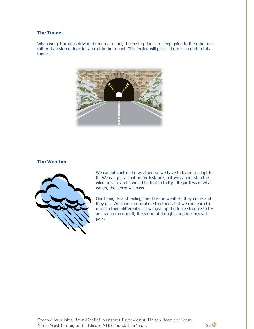#### **The Tunnel**

When we get anxious driving through a tunnel, the best option is to keep going to the other end, rather than stop or look for an exit in the tunnel. This feeling will pass - there is an end to this tunnel.



#### **The Weather**



We cannot control the weather, so we have to learn to adapt to it. We can put a coat on for instance, but we cannot stop the wind or rain, and it would be foolish to try. Regardless of what we do, the storm will pass.

Our thoughts and feelings are like the weather, they come and they go. We cannot control or stop them, but we can learn to react to them differently. If we give up the futile struggle to try and stop or control it, the storm of thoughts and feelings will pass.

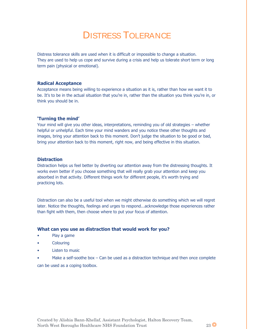# DISTRESS TOLERANCE

Distress tolerance skills are used when it is difficult or impossible to change a situation. They are used to help us cope and survive during a crisis and help us tolerate short term or long term pain (physical or emotional).

#### **Radical Acceptance**

Acceptance means being willing to experience a situation as it is, rather than how we want it to be. It's to be in the actual situation that you're in, rather than the situation you think you're in, or think you should be in.

#### **'Turning the mind'**

Your mind will give you other ideas, interpretations, reminding you of old strategies – whether helpful or unhelpful. Each time your mind wanders and you notice these other thoughts and images, bring your attention back to this moment. Don't judge the situation to be good or bad, bring your attention back to this moment, right now, and being effective in this situation.

#### **Distraction**

Distraction helps us feel better by diverting our attention away from the distressing thoughts. It works even better if you choose something that will really grab your attention and keep you absorbed in that activity. Different things work for different people, it's worth trying and practicing lots.

Distraction can also be a useful tool when we might otherwise do something which we will regret later. Notice the thoughts, feelings and urges to respond...acknowledge those experiences rather than fight with them, then choose where to put your focus of attention.

#### **What can you use as distraction that would work for you?**

- Play a game
- **Colouring**
- Listen to music
- Make a self-soothe box  $-$  Can be used as a distraction technique and then once complete can be used as a coping toolbox.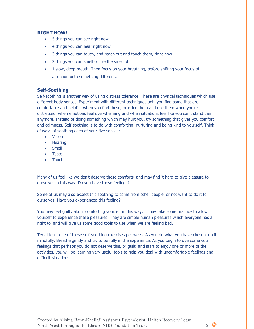#### **RIGHT NOW!**

- 5 things you can see right now
- 4 things you can hear right now
- 3 things you can touch, and reach out and touch them, right now
- 2 things you can smell or like the smell of
- 1 slow, deep breath. Then focus on your breathing, before shifting your focus of attention onto something different...

#### **Self-Soothing**

Self-soothing is another way of using distress tolerance. These are physical techniques which use different body senses. Experiment with different techniques until you find some that are comfortable and helpful, when you find these, practice them and use them when you're distressed, when emotions feel overwhelming and when situations feel like you can't stand them anymore. Instead of doing something which may hurt you, try something that gives you comfort and calmness. Self-soothing is to do with comforting, nurturing and being kind to yourself. Think of ways of soothing each of your five senses:

- Vision
- Hearing
- Smell
- Taste
- Touch

Many of us feel like we don't deserve these comforts, and may find it hard to give pleasure to ourselves in this way. Do you have those feelings?

Some of us may also expect this soothing to come from other people, or not want to do it for ourselves. Have you experienced this feeling?

You may feel guilty about comforting yourself in this way. It may take some practice to allow yourself to experience these pleasures. They are simple human pleasures which everyone has a right to, and will give us some good tools to use when we are feeling bad.

Try at least one of these self-soothing exercises per week. As you do what you have chosen, do it mindfully. Breathe gently and try to be fully in the experience. As you begin to overcome your feelings that perhaps you do not deserve this, or guilt, and start to enjoy one or more of the activities, you will be learning very useful tools to help you deal with uncomfortable feelings and difficult situations.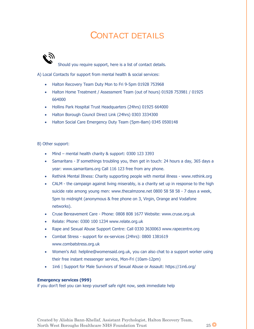### CONTACT DETAILS

V 2) Should you require support, here is a list of contact details.

A) Local Contacts for support from mental health & social services:

- Halton Recovery Team Duty Mon to Fri 9-5pm 01928 753968
- Halton Home Treatment / Assessment Team (out of hours) 01928 753981 / 01925 664000
- Hollins Park Hospital Trust Headquarters (24hrs) 01925 664000
- Halton Borough Council Direct Link (24hrs) 0303 3334300
- Halton Social Care Emergency Duty Team (5pm-8am) 0345 0500148

#### B) Other support:

- Mind mental health charity & support: 0300 123 3393
- Samaritans If somethings troubling you, then get in touch: 24 hours a day, 365 days a year: www.samaritans.org Call 116 123 free from any phone.
- Rethink Mental Illness: Charity supporting people with mental illness www.rethink.org
- CALM the campaign against living miserably, is a charity set up in response to the high suicide rate among young men: www.thecalmzone.net 0800 58 58 58 - 7 days a week, 5pm to midnight (anonymous & free phone on 3, Virgin, Orange and Vodafone networks).
- Cruse Bereavement Care Phone: 0808 808 1677 Website: www.cruse.org.uk
- Relate: Phone: 0300 100 1234 www.relate.org.uk
- Rape and Sexual Abuse Support Centre: Call 0330 3630063 www.rapecentre.org
- Combat Stress support for ex-services (24hrs): 0800 1381619 [www.combatstress.org.uk](http://www.combatstress.org.uk/)
- Women's Aid: [helpline@womensaid.org.uk,](mailto:helpline@womensaid.org.uk) you can also chat to a support worker using their free [instant messenger service,](https://chat.womensaid.org.uk/) Mon-Fri (10am-12pm)
- 1in6 | Support for Male Survivors of Sexual Abuse or Assault: https://1in6.org/

#### **Emergency services (999)**

if you don't feel you can keep yourself safe right now, seek immediate help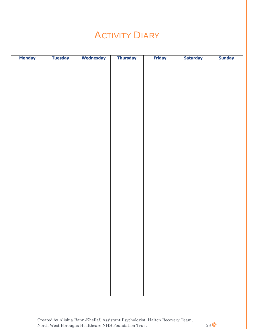## **ACTIVITY DIARY**

| <b>Monday</b> | <b>Tuesday</b> | Wednesday | <b>Thursday</b> | <b>Friday</b> | <b>Saturday</b> | <b>Sunday</b> |
|---------------|----------------|-----------|-----------------|---------------|-----------------|---------------|
|               |                |           |                 |               |                 |               |
|               |                |           |                 |               |                 |               |
|               |                |           |                 |               |                 |               |
|               |                |           |                 |               |                 |               |
|               |                |           |                 |               |                 |               |
|               |                |           |                 |               |                 |               |
|               |                |           |                 |               |                 |               |
|               |                |           |                 |               |                 |               |
|               |                |           |                 |               |                 |               |
|               |                |           |                 |               |                 |               |
|               |                |           |                 |               |                 |               |
|               |                |           |                 |               |                 |               |
|               |                |           |                 |               |                 |               |
|               |                |           |                 |               |                 |               |
|               |                |           |                 |               |                 |               |
|               |                |           |                 |               |                 |               |
|               |                |           |                 |               |                 |               |
|               |                |           |                 |               |                 |               |
|               |                |           |                 |               |                 |               |
|               |                |           |                 |               |                 |               |
|               |                |           |                 |               |                 |               |
|               |                |           |                 |               |                 |               |
|               |                |           |                 |               |                 |               |
|               |                |           |                 |               |                 |               |
|               |                |           |                 |               |                 |               |
|               |                |           |                 |               |                 |               |